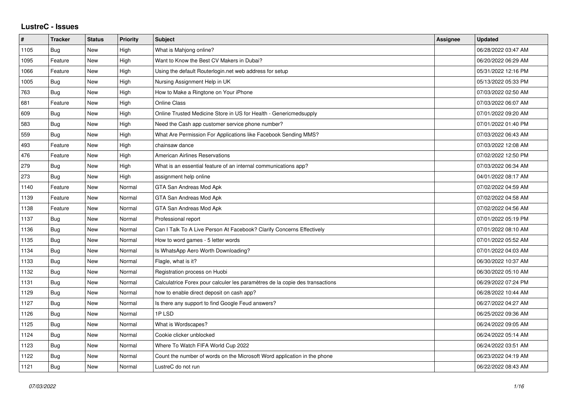## **LustreC - Issues**

| $\pmb{\#}$ | <b>Tracker</b> | <b>Status</b> | <b>Priority</b> | <b>Subject</b>                                                               | Assignee | <b>Updated</b>      |
|------------|----------------|---------------|-----------------|------------------------------------------------------------------------------|----------|---------------------|
| 1105       | Bug            | <b>New</b>    | High            | What is Mahjong online?                                                      |          | 06/28/2022 03:47 AM |
| 1095       | Feature        | New           | High            | Want to Know the Best CV Makers in Dubai?                                    |          | 06/20/2022 06:29 AM |
| 1066       | Feature        | <b>New</b>    | High            | Using the default Routerlogin.net web address for setup                      |          | 05/31/2022 12:16 PM |
| 1005       | <b>Bug</b>     | <b>New</b>    | High            | Nursing Assignment Help in UK                                                |          | 05/13/2022 05:33 PM |
| 763        | Bug            | <b>New</b>    | High            | How to Make a Ringtone on Your iPhone                                        |          | 07/03/2022 02:50 AM |
| 681        | Feature        | New           | High            | <b>Online Class</b>                                                          |          | 07/03/2022 06:07 AM |
| 609        | Bug            | New           | High            | Online Trusted Medicine Store in US for Health - Genericmedsupply            |          | 07/01/2022 09:20 AM |
| 583        | <b>Bug</b>     | <b>New</b>    | High            | Need the Cash app customer service phone number?                             |          | 07/01/2022 01:40 PM |
| 559        | Bug            | <b>New</b>    | High            | What Are Permission For Applications like Facebook Sending MMS?              |          | 07/03/2022 06:43 AM |
| 493        | Feature        | <b>New</b>    | High            | chainsaw dance                                                               |          | 07/03/2022 12:08 AM |
| 476        | Feature        | <b>New</b>    | High            | <b>American Airlines Reservations</b>                                        |          | 07/02/2022 12:50 PM |
| 279        | Bug            | New           | High            | What is an essential feature of an internal communications app?              |          | 07/03/2022 06:34 AM |
| 273        | <b>Bug</b>     | <b>New</b>    | High            | assignment help online                                                       |          | 04/01/2022 08:17 AM |
| 1140       | Feature        | <b>New</b>    | Normal          | GTA San Andreas Mod Apk                                                      |          | 07/02/2022 04:59 AM |
| 1139       | Feature        | <b>New</b>    | Normal          | GTA San Andreas Mod Apk                                                      |          | 07/02/2022 04:58 AM |
| 1138       | Feature        | <b>New</b>    | Normal          | GTA San Andreas Mod Apk                                                      |          | 07/02/2022 04:56 AM |
| 1137       | <b>Bug</b>     | <b>New</b>    | Normal          | Professional report                                                          |          | 07/01/2022 05:19 PM |
| 1136       | Bug            | New           | Normal          | Can I Talk To A Live Person At Facebook? Clarify Concerns Effectively        |          | 07/01/2022 08:10 AM |
| 1135       | Bug            | <b>New</b>    | Normal          | How to word games - 5 letter words                                           |          | 07/01/2022 05:52 AM |
| 1134       | <b>Bug</b>     | <b>New</b>    | Normal          | Is WhatsApp Aero Worth Downloading?                                          |          | 07/01/2022 04:03 AM |
| 1133       | Bug            | New           | Normal          | Flagle, what is it?                                                          |          | 06/30/2022 10:37 AM |
| 1132       | <b>Bug</b>     | <b>New</b>    | Normal          | Registration process on Huobi                                                |          | 06/30/2022 05:10 AM |
| 1131       | <b>Bug</b>     | <b>New</b>    | Normal          | Calculatrice Forex pour calculer les paramètres de la copie des transactions |          | 06/29/2022 07:24 PM |
| 1129       | Bug            | <b>New</b>    | Normal          | how to enable direct deposit on cash app?                                    |          | 06/28/2022 10:44 AM |
| 1127       | Bug            | <b>New</b>    | Normal          | Is there any support to find Google Feud answers?                            |          | 06/27/2022 04:27 AM |
| 1126       | <b>Bug</b>     | <b>New</b>    | Normal          | 1PLSD                                                                        |          | 06/25/2022 09:36 AM |
| 1125       | Bug            | <b>New</b>    | Normal          | What is Wordscapes?                                                          |          | 06/24/2022 09:05 AM |
| 1124       | <b>Bug</b>     | <b>New</b>    | Normal          | Cookie clicker unblocked                                                     |          | 06/24/2022 05:14 AM |
| 1123       | Bug            | <b>New</b>    | Normal          | Where To Watch FIFA World Cup 2022                                           |          | 06/24/2022 03:51 AM |
| 1122       | Bug            | New           | Normal          | Count the number of words on the Microsoft Word application in the phone     |          | 06/23/2022 04:19 AM |
| 1121       | Bug            | <b>New</b>    | Normal          | LustreC do not run                                                           |          | 06/22/2022 08:43 AM |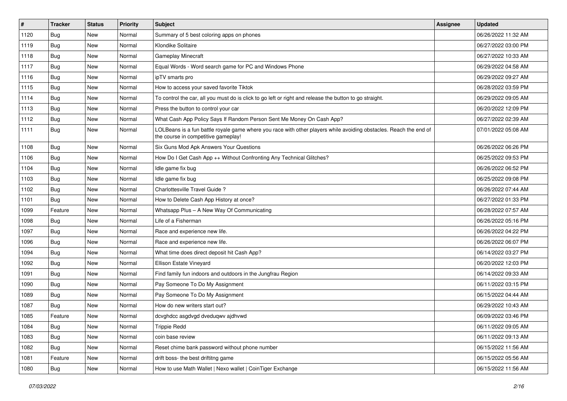| $\vert$ # | <b>Tracker</b> | <b>Status</b> | Priority | <b>Subject</b>                                                                                                                                           | Assignee | <b>Updated</b>      |
|-----------|----------------|---------------|----------|----------------------------------------------------------------------------------------------------------------------------------------------------------|----------|---------------------|
| 1120      | <b>Bug</b>     | New           | Normal   | Summary of 5 best coloring apps on phones                                                                                                                |          | 06/26/2022 11:32 AM |
| 1119      | Bug            | New           | Normal   | Klondike Solitaire                                                                                                                                       |          | 06/27/2022 03:00 PM |
| 1118      | Bug            | New           | Normal   | <b>Gameplay Minecraft</b>                                                                                                                                |          | 06/27/2022 10:33 AM |
| 1117      | <b>Bug</b>     | New           | Normal   | Equal Words - Word search game for PC and Windows Phone                                                                                                  |          | 06/29/2022 04:58 AM |
| 1116      | <b>Bug</b>     | New           | Normal   | ipTV smarts pro                                                                                                                                          |          | 06/29/2022 09:27 AM |
| 1115      | <b>Bug</b>     | New           | Normal   | How to access your saved favorite Tiktok                                                                                                                 |          | 06/28/2022 03:59 PM |
| 1114      | <b>Bug</b>     | New           | Normal   | To control the car, all you must do is click to go left or right and release the button to go straight.                                                  |          | 06/29/2022 09:05 AM |
| 1113      | <b>Bug</b>     | New           | Normal   | Press the button to control your car                                                                                                                     |          | 06/20/2022 12:09 PM |
| 1112      | <b>Bug</b>     | New           | Normal   | What Cash App Policy Says If Random Person Sent Me Money On Cash App?                                                                                    |          | 06/27/2022 02:39 AM |
| 1111      | <b>Bug</b>     | New           | Normal   | LOLBeans is a fun battle royale game where you race with other players while avoiding obstacles. Reach the end of<br>the course in competitive gameplay! |          | 07/01/2022 05:08 AM |
| 1108      | <b>Bug</b>     | <b>New</b>    | Normal   | Six Guns Mod Apk Answers Your Questions                                                                                                                  |          | 06/26/2022 06:26 PM |
| 1106      | Bug            | New           | Normal   | How Do I Get Cash App ++ Without Confronting Any Technical Glitches?                                                                                     |          | 06/25/2022 09:53 PM |
| 1104      | Bug            | New           | Normal   | Idle game fix bug                                                                                                                                        |          | 06/26/2022 06:52 PM |
| 1103      | <b>Bug</b>     | New           | Normal   | Idle game fix bug                                                                                                                                        |          | 06/25/2022 09:08 PM |
| 1102      | Bug            | New           | Normal   | Charlottesville Travel Guide ?                                                                                                                           |          | 06/26/2022 07:44 AM |
| 1101      | <b>Bug</b>     | <b>New</b>    | Normal   | How to Delete Cash App History at once?                                                                                                                  |          | 06/27/2022 01:33 PM |
| 1099      | Feature        | New           | Normal   | Whatsapp Plus - A New Way Of Communicating                                                                                                               |          | 06/28/2022 07:57 AM |
| 1098      | <b>Bug</b>     | New           | Normal   | Life of a Fisherman                                                                                                                                      |          | 06/26/2022 05:16 PM |
| 1097      | <b>Bug</b>     | New           | Normal   | Race and experience new life.                                                                                                                            |          | 06/26/2022 04:22 PM |
| 1096      | <b>Bug</b>     | New           | Normal   | Race and experience new life.                                                                                                                            |          | 06/26/2022 06:07 PM |
| 1094      | <b>Bug</b>     | New           | Normal   | What time does direct deposit hit Cash App?                                                                                                              |          | 06/14/2022 03:27 PM |
| 1092      | <b>Bug</b>     | New           | Normal   | Ellison Estate Vineyard                                                                                                                                  |          | 06/20/2022 12:03 PM |
| 1091      | <b>Bug</b>     | New           | Normal   | Find family fun indoors and outdoors in the Jungfrau Region                                                                                              |          | 06/14/2022 09:33 AM |
| 1090      | <b>Bug</b>     | New           | Normal   | Pay Someone To Do My Assignment                                                                                                                          |          | 06/11/2022 03:15 PM |
| 1089      | Bug            | New           | Normal   | Pay Someone To Do My Assignment                                                                                                                          |          | 06/15/2022 04:44 AM |
| 1087      | Bug            | New           | Normal   | How do new writers start out?                                                                                                                            |          | 06/29/2022 10:43 AM |
| 1085      | Feature        | New           | Normal   | dcvghdcc asgdvgd dveduqwv ajdhvwd                                                                                                                        |          | 06/09/2022 03:46 PM |
| 1084      | Bug            | New           | Normal   | <b>Trippie Redd</b>                                                                                                                                      |          | 06/11/2022 09:05 AM |
| 1083      | <b>Bug</b>     | New           | Normal   | coin base review                                                                                                                                         |          | 06/11/2022 09:13 AM |
| 1082      | <b>Bug</b>     | New           | Normal   | Reset chime bank password without phone number                                                                                                           |          | 06/15/2022 11:56 AM |
| 1081      | Feature        | New           | Normal   | drift boss- the best driftitng game                                                                                                                      |          | 06/15/2022 05:56 AM |
| 1080      | <b>Bug</b>     | New           | Normal   | How to use Math Wallet   Nexo wallet   CoinTiger Exchange                                                                                                |          | 06/15/2022 11:56 AM |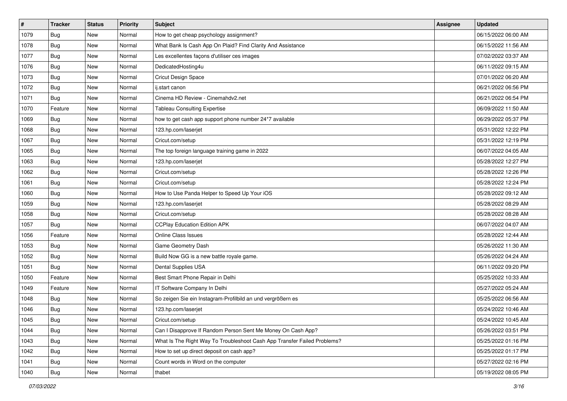| $\vert$ # | <b>Tracker</b> | <b>Status</b> | <b>Priority</b> | Subject                                                                  | Assignee | <b>Updated</b>      |
|-----------|----------------|---------------|-----------------|--------------------------------------------------------------------------|----------|---------------------|
| 1079      | <b>Bug</b>     | New           | Normal          | How to get cheap psychology assignment?                                  |          | 06/15/2022 06:00 AM |
| 1078      | <b>Bug</b>     | New           | Normal          | What Bank Is Cash App On Plaid? Find Clarity And Assistance              |          | 06/15/2022 11:56 AM |
| 1077      | Bug            | New           | Normal          | Les excellentes façons d'utiliser ces images                             |          | 07/02/2022 03:37 AM |
| 1076      | <b>Bug</b>     | New           | Normal          | DedicatedHosting4u                                                       |          | 06/11/2022 09:15 AM |
| 1073      | Bug            | New           | Normal          | Cricut Design Space                                                      |          | 07/01/2022 06:20 AM |
| 1072      | <b>Bug</b>     | New           | Normal          | ij.start canon                                                           |          | 06/21/2022 06:56 PM |
| 1071      | <b>Bug</b>     | New           | Normal          | Cinema HD Review - Cinemahdv2.net                                        |          | 06/21/2022 06:54 PM |
| 1070      | Feature        | New           | Normal          | <b>Tableau Consulting Expertise</b>                                      |          | 06/09/2022 11:50 AM |
| 1069      | <b>Bug</b>     | New           | Normal          | how to get cash app support phone number 24*7 available                  |          | 06/29/2022 05:37 PM |
| 1068      | <b>Bug</b>     | New           | Normal          | 123.hp.com/laserjet                                                      |          | 05/31/2022 12:22 PM |
| 1067      | Bug            | New           | Normal          | Cricut.com/setup                                                         |          | 05/31/2022 12:19 PM |
| 1065      | <b>Bug</b>     | New           | Normal          | The top foreign language training game in 2022                           |          | 06/07/2022 04:05 AM |
| 1063      | Bug            | New           | Normal          | 123.hp.com/laserjet                                                      |          | 05/28/2022 12:27 PM |
| 1062      | <b>Bug</b>     | New           | Normal          | Cricut.com/setup                                                         |          | 05/28/2022 12:26 PM |
| 1061      | Bug            | New           | Normal          | Cricut.com/setup                                                         |          | 05/28/2022 12:24 PM |
| 1060      | <b>Bug</b>     | New           | Normal          | How to Use Panda Helper to Speed Up Your iOS                             |          | 05/28/2022 09:12 AM |
| 1059      | <b>Bug</b>     | New           | Normal          | 123.hp.com/laserjet                                                      |          | 05/28/2022 08:29 AM |
| 1058      | Bug            | New           | Normal          | Cricut.com/setup                                                         |          | 05/28/2022 08:28 AM |
| 1057      | <b>Bug</b>     | New           | Normal          | <b>CCPlay Education Edition APK</b>                                      |          | 06/07/2022 04:07 AM |
| 1056      | Feature        | New           | Normal          | <b>Online Class Issues</b>                                               |          | 05/28/2022 12:44 AM |
| 1053      | Bug            | New           | Normal          | Game Geometry Dash                                                       |          | 05/26/2022 11:30 AM |
| 1052      | <b>Bug</b>     | New           | Normal          | Build Now GG is a new battle royale game.                                |          | 05/26/2022 04:24 AM |
| 1051      | Bug            | New           | Normal          | Dental Supplies USA                                                      |          | 06/11/2022 09:20 PM |
| 1050      | Feature        | New           | Normal          | Best Smart Phone Repair in Delhi                                         |          | 05/25/2022 10:33 AM |
| 1049      | Feature        | New           | Normal          | IT Software Company In Delhi                                             |          | 05/27/2022 05:24 AM |
| 1048      | <b>Bug</b>     | New           | Normal          | So zeigen Sie ein Instagram-Profilbild an und vergrößern es              |          | 05/25/2022 06:56 AM |
| 1046      | Bug            | New           | Normal          | 123.hp.com/laserjet                                                      |          | 05/24/2022 10:46 AM |
| 1045      | Bug            | New           | Normal          | Cricut.com/setup                                                         |          | 05/24/2022 10:45 AM |
| 1044      | <b>Bug</b>     | New           | Normal          | Can I Disapprove If Random Person Sent Me Money On Cash App?             |          | 05/26/2022 03:51 PM |
| 1043      | <b>Bug</b>     | New           | Normal          | What Is The Right Way To Troubleshoot Cash App Transfer Failed Problems? |          | 05/25/2022 01:16 PM |
| 1042      | Bug            | New           | Normal          | How to set up direct deposit on cash app?                                |          | 05/25/2022 01:17 PM |
| 1041      | <b>Bug</b>     | New           | Normal          | Count words in Word on the computer                                      |          | 05/27/2022 02:16 PM |
| 1040      | Bug            | New           | Normal          | thabet                                                                   |          | 05/19/2022 08:05 PM |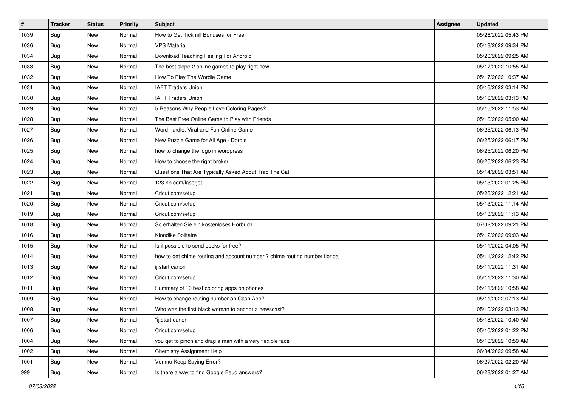| #    | <b>Tracker</b> | <b>Status</b> | <b>Priority</b> | Subject                                                                    | Assignee | <b>Updated</b>      |
|------|----------------|---------------|-----------------|----------------------------------------------------------------------------|----------|---------------------|
| 1039 | <b>Bug</b>     | New           | Normal          | How to Get Tickmill Bonuses for Free                                       |          | 05/26/2022 05:43 PM |
| 1036 | Bug            | New           | Normal          | <b>VPS Material</b>                                                        |          | 05/18/2022 09:34 PM |
| 1034 | Bug            | New           | Normal          | Download Teaching Feeling For Android                                      |          | 05/20/2022 09:25 AM |
| 1033 | <b>Bug</b>     | New           | Normal          | The best slope 2 online games to play right now                            |          | 05/17/2022 10:55 AM |
| 1032 | <b>Bug</b>     | New           | Normal          | How To Play The Wordle Game                                                |          | 05/17/2022 10:37 AM |
| 1031 | <b>Bug</b>     | New           | Normal          | <b>IAFT Traders Union</b>                                                  |          | 05/16/2022 03:14 PM |
| 1030 | <b>Bug</b>     | New           | Normal          | <b>IAFT Traders Union</b>                                                  |          | 05/16/2022 03:13 PM |
| 1029 | Bug            | New           | Normal          | 5 Reasons Why People Love Coloring Pages?                                  |          | 05/16/2022 11:53 AM |
| 1028 | <b>Bug</b>     | New           | Normal          | The Best Free Online Game to Play with Friends                             |          | 05/16/2022 05:00 AM |
| 1027 | Bug            | New           | Normal          | Word hurdle: Viral and Fun Online Game                                     |          | 06/25/2022 06:13 PM |
| 1026 | Bug            | New           | Normal          | New Puzzle Game for All Age - Dordle                                       |          | 06/25/2022 06:17 PM |
| 1025 | <b>Bug</b>     | New           | Normal          | how to change the logo in wordpress                                        |          | 06/25/2022 06:20 PM |
| 1024 | Bug            | New           | Normal          | How to choose the right broker                                             |          | 06/25/2022 06:23 PM |
| 1023 | Bug            | New           | Normal          | Questions That Are Typically Asked About Trap The Cat                      |          | 05/14/2022 03:51 AM |
| 1022 | <b>Bug</b>     | New           | Normal          | 123.hp.com/laserjet                                                        |          | 05/13/2022 01:25 PM |
| 1021 | <b>Bug</b>     | New           | Normal          | Cricut.com/setup                                                           |          | 05/26/2022 12:21 AM |
| 1020 | Bug            | New           | Normal          | Cricut.com/setup                                                           |          | 05/13/2022 11:14 AM |
| 1019 | Bug            | New           | Normal          | Cricut.com/setup                                                           |          | 05/13/2022 11:13 AM |
| 1018 | <b>Bug</b>     | New           | Normal          | So erhalten Sie ein kostenloses Hörbuch                                    |          | 07/02/2022 09:21 PM |
| 1016 | Bug            | New           | Normal          | Klondike Solitaire                                                         |          | 05/12/2022 09:03 AM |
| 1015 | Bug            | New           | Normal          | Is it possible to send books for free?                                     |          | 05/11/2022 04:05 PM |
| 1014 | <b>Bug</b>     | New           | Normal          | how to get chime routing and account number ? chime routing number florida |          | 05/11/2022 12:42 PM |
| 1013 | <b>Bug</b>     | New           | Normal          | ij.start canon                                                             |          | 05/11/2022 11:31 AM |
| 1012 | <b>Bug</b>     | New           | Normal          | Cricut.com/setup                                                           |          | 05/11/2022 11:30 AM |
| 1011 | <b>Bug</b>     | New           | Normal          | Summary of 10 best coloring apps on phones                                 |          | 05/11/2022 10:58 AM |
| 1009 | Bug            | New           | Normal          | How to change routing number on Cash App?                                  |          | 05/11/2022 07:13 AM |
| 1008 | Bug            | New           | Normal          | Who was the first black woman to anchor a newscast?                        |          | 05/10/2022 03:13 PM |
| 1007 | Bug            | New           | Normal          | "ij.start canon                                                            |          | 05/18/2022 10:40 AM |
| 1006 | Bug            | New           | Normal          | Cricut.com/setup                                                           |          | 05/10/2022 01:22 PM |
| 1004 | <b>Bug</b>     | New           | Normal          | you get to pinch and drag a man with a very flexible face                  |          | 05/10/2022 10:59 AM |
| 1002 | Bug            | New           | Normal          | <b>Chemistry Assignment Help</b>                                           |          | 06/04/2022 09:58 AM |
| 1001 | <b>Bug</b>     | New           | Normal          | Venmo Keep Saying Error?                                                   |          | 06/27/2022 02:20 AM |
| 999  | <b>Bug</b>     | New           | Normal          | Is there a way to find Google Feud answers?                                |          | 06/28/2022 01:27 AM |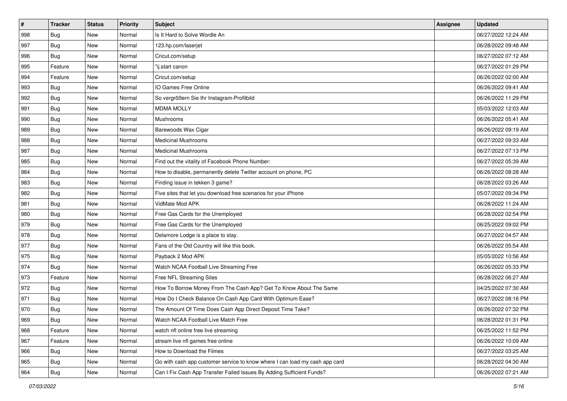| $\sharp$ | <b>Tracker</b> | <b>Status</b> | <b>Priority</b> | Subject                                                                     | <b>Assignee</b> | <b>Updated</b>      |
|----------|----------------|---------------|-----------------|-----------------------------------------------------------------------------|-----------------|---------------------|
| 998      | <b>Bug</b>     | New           | Normal          | Is It Hard to Solve Wordle An                                               |                 | 06/27/2022 12:24 AM |
| 997      | Bug            | New           | Normal          | 123.hp.com/laserjet                                                         |                 | 06/28/2022 09:48 AM |
| 996      | Bug            | New           | Normal          | Cricut.com/setup                                                            |                 | 06/27/2022 07:12 AM |
| 995      | Feature        | New           | Normal          | "ij.start canon                                                             |                 | 06/27/2022 01:29 PM |
| 994      | Feature        | New           | Normal          | Cricut.com/setup                                                            |                 | 06/26/2022 02:00 AM |
| 993      | Bug            | New           | Normal          | IO Games Free Online                                                        |                 | 06/26/2022 09:41 AM |
| 992      | Bug            | New           | Normal          | So vergrößern Sie Ihr Instagram-Profilbild                                  |                 | 06/26/2022 11:29 PM |
| 991      | <b>Bug</b>     | New           | Normal          | <b>MDMA MOLLY</b>                                                           |                 | 05/03/2022 12:03 AM |
| 990      | Bug            | New           | Normal          | Mushrooms                                                                   |                 | 06/26/2022 05:41 AM |
| 989      | Bug            | New           | Normal          | Barewoods Wax Cigar                                                         |                 | 06/26/2022 09:19 AM |
| 988      | Bug            | New           | Normal          | <b>Medicinal Mushrooms</b>                                                  |                 | 06/27/2022 09:33 AM |
| 987      | Bug            | New           | Normal          | <b>Medicinal Mushrooms</b>                                                  |                 | 06/27/2022 07:13 PM |
| 985      | Bug            | New           | Normal          | Find out the vitality of Facebook Phone Number:                             |                 | 06/27/2022 05:39 AM |
| 984      | Bug            | New           | Normal          | How to disable, permanently delete Twitter account on phone, PC             |                 | 06/26/2022 08:28 AM |
| 983      | <b>Bug</b>     | New           | Normal          | Finding issue in tekken 3 game?                                             |                 | 06/28/2022 03:26 AM |
| 982      | Bug            | New           | Normal          | Five sites that let you download free scenarios for your iPhone             |                 | 05/07/2022 09:34 PM |
| 981      | <b>Bug</b>     | New           | Normal          | VidMate Mod APK                                                             |                 | 06/28/2022 11:24 AM |
| 980      | Bug            | New           | Normal          | Free Gas Cards for the Unemployed                                           |                 | 06/28/2022 02:54 PM |
| 979      | <b>Bug</b>     | New           | Normal          | Free Gas Cards for the Unemployed                                           |                 | 06/25/2022 09:02 PM |
| 978      | <b>Bug</b>     | New           | Normal          | Delamore Lodge is a place to stay.                                          |                 | 06/27/2022 04:57 AM |
| 977      | <b>Bug</b>     | New           | Normal          | Fans of the Old Country will like this book.                                |                 | 06/26/2022 05:54 AM |
| 975      | Bug            | New           | Normal          | Payback 2 Mod APK                                                           |                 | 05/05/2022 10:56 AM |
| 974      | Bug            | New           | Normal          | Watch NCAA Football Live Streaming Free                                     |                 | 06/26/2022 05:33 PM |
| 973      | Feature        | New           | Normal          | Free NFL Streaming Sites                                                    |                 | 06/28/2022 06:27 AM |
| 972      | <b>Bug</b>     | New           | Normal          | How To Borrow Money From The Cash App? Get To Know About The Same           |                 | 04/25/2022 07:30 AM |
| 971      | Bug            | New           | Normal          | How Do I Check Balance On Cash App Card With Optimum Ease?                  |                 | 06/27/2022 08:16 PM |
| 970      | <b>Bug</b>     | New           | Normal          | The Amount Of Time Does Cash App Direct Deposit Time Take?                  |                 | 06/26/2022 07:32 PM |
| 969      | <b>Bug</b>     | New           | Normal          | Watch NCAA Football Live Match Free                                         |                 | 06/28/2022 01:31 PM |
| 968      | Feature        | New           | Normal          | watch nfl online free live streaming                                        |                 | 06/25/2022 11:52 PM |
| 967      | Feature        | New           | Normal          | stream live nfl games free online                                           |                 | 06/26/2022 10:09 AM |
| 966      | Bug            | New           | Normal          | How to Download the Filmes                                                  |                 | 06/27/2022 03:25 AM |
| 965      | <b>Bug</b>     | New           | Normal          | Go with cash app customer service to know where I can load my cash app card |                 | 06/28/2022 04:30 AM |
| 964      | <b>Bug</b>     | New           | Normal          | Can I Fix Cash App Transfer Failed Issues By Adding Sufficient Funds?       |                 | 06/26/2022 07:21 AM |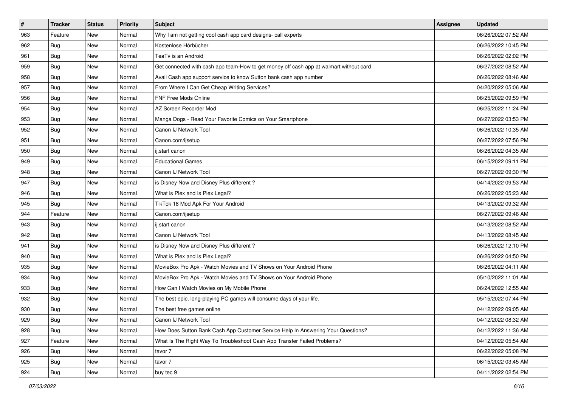| #   | <b>Tracker</b> | <b>Status</b> | <b>Priority</b> | <b>Subject</b>                                                                         | Assignee | <b>Updated</b>      |
|-----|----------------|---------------|-----------------|----------------------------------------------------------------------------------------|----------|---------------------|
| 963 | Feature        | New           | Normal          | Why I am not getting cool cash app card designs- call experts                          |          | 06/26/2022 07:52 AM |
| 962 | <b>Bug</b>     | New           | Normal          | Kostenlose Hörbücher                                                                   |          | 06/26/2022 10:45 PM |
| 961 | <b>Bug</b>     | New           | Normal          | TeaTv is an Android                                                                    |          | 06/26/2022 02:02 PM |
| 959 | <b>Bug</b>     | New           | Normal          | Get connected with cash app team-How to get money off cash app at walmart without card |          | 06/27/2022 08:52 AM |
| 958 | Bug            | New           | Normal          | Avail Cash app support service to know Sutton bank cash app number                     |          | 06/26/2022 08:46 AM |
| 957 | Bug            | New           | Normal          | From Where I Can Get Cheap Writing Services?                                           |          | 04/20/2022 05:06 AM |
| 956 | <b>Bug</b>     | New           | Normal          | FNF Free Mods Online                                                                   |          | 06/25/2022 09:59 PM |
| 954 | Bug            | New           | Normal          | AZ Screen Recorder Mod                                                                 |          | 06/25/2022 11:24 PM |
| 953 | Bug            | New           | Normal          | Manga Dogs - Read Your Favorite Comics on Your Smartphone                              |          | 06/27/2022 03:53 PM |
| 952 | Bug            | New           | Normal          | Canon IJ Network Tool                                                                  |          | 06/26/2022 10:35 AM |
| 951 | Bug            | New           | Normal          | Canon.com/ijsetup                                                                      |          | 06/27/2022 07:56 PM |
| 950 | Bug            | New           | Normal          | ij.start canon                                                                         |          | 06/26/2022 04:35 AM |
| 949 | Bug            | <b>New</b>    | Normal          | <b>Educational Games</b>                                                               |          | 06/15/2022 09:11 PM |
| 948 | <b>Bug</b>     | New           | Normal          | Canon IJ Network Tool                                                                  |          | 06/27/2022 09:30 PM |
| 947 | Bug            | New           | Normal          | is Disney Now and Disney Plus different?                                               |          | 04/14/2022 09:53 AM |
| 946 | <b>Bug</b>     | New           | Normal          | What is Plex and Is Plex Legal?                                                        |          | 06/26/2022 05:23 AM |
| 945 | <b>Bug</b>     | New           | Normal          | TikTok 18 Mod Apk For Your Android                                                     |          | 04/13/2022 09:32 AM |
| 944 | Feature        | New           | Normal          | Canon.com/ijsetup                                                                      |          | 06/27/2022 09:46 AM |
| 943 | <b>Bug</b>     | New           | Normal          | ij.start canon                                                                         |          | 04/13/2022 08:52 AM |
| 942 | <b>Bug</b>     | New           | Normal          | Canon IJ Network Tool                                                                  |          | 04/13/2022 08:45 AM |
| 941 | Bug            | New           | Normal          | is Disney Now and Disney Plus different?                                               |          | 06/26/2022 12:10 PM |
| 940 | Bug            | New           | Normal          | What is Plex and Is Plex Legal?                                                        |          | 06/26/2022 04:50 PM |
| 935 | Bug            | New           | Normal          | MovieBox Pro Apk - Watch Movies and TV Shows on Your Android Phone                     |          | 06/26/2022 04:11 AM |
| 934 | <b>Bug</b>     | New           | Normal          | MovieBox Pro Apk - Watch Movies and TV Shows on Your Android Phone                     |          | 05/10/2022 11:01 AM |
| 933 | <b>Bug</b>     | New           | Normal          | How Can I Watch Movies on My Mobile Phone                                              |          | 06/24/2022 12:55 AM |
| 932 | <b>Bug</b>     | New           | Normal          | The best epic, long-playing PC games will consume days of your life.                   |          | 05/15/2022 07:44 PM |
| 930 | <b>Bug</b>     | New           | Normal          | The best free games online                                                             |          | 04/12/2022 09:05 AM |
| 929 | Bug            | New           | Normal          | Canon IJ Network Tool                                                                  |          | 04/12/2022 08:32 AM |
| 928 | Bug            | New           | Normal          | How Does Sutton Bank Cash App Customer Service Help In Answering Your Questions?       |          | 04/12/2022 11:36 AM |
| 927 | Feature        | New           | Normal          | What Is The Right Way To Troubleshoot Cash App Transfer Failed Problems?               |          | 04/12/2022 05:54 AM |
| 926 | <b>Bug</b>     | New           | Normal          | tavor 7                                                                                |          | 06/22/2022 05:08 PM |
| 925 | <b>Bug</b>     | New           | Normal          | tavor 7                                                                                |          | 06/15/2022 03:45 AM |
| 924 | <b>Bug</b>     | New           | Normal          | buy tec 9                                                                              |          | 04/11/2022 02:54 PM |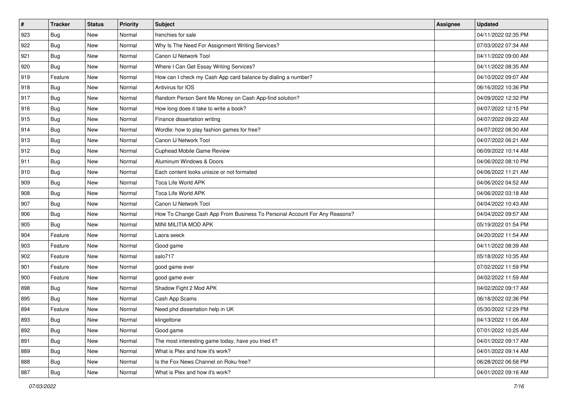| $\vert$ # | <b>Tracker</b> | <b>Status</b> | Priority | <b>Subject</b>                                                            | <b>Assignee</b> | <b>Updated</b>      |
|-----------|----------------|---------------|----------|---------------------------------------------------------------------------|-----------------|---------------------|
| 923       | <b>Bug</b>     | New           | Normal   | frenchies for sale                                                        |                 | 04/11/2022 02:35 PM |
| 922       | <b>Bug</b>     | New           | Normal   | Why Is The Need For Assignment Writing Services?                          |                 | 07/03/2022 07:34 AM |
| 921       | Bug            | New           | Normal   | Canon IJ Network Tool                                                     |                 | 04/11/2022 09:00 AM |
| 920       | <b>Bug</b>     | New           | Normal   | Where I Can Get Essay Writing Services?                                   |                 | 04/11/2022 08:35 AM |
| 919       | Feature        | New           | Normal   | How can I check my Cash App card balance by dialing a number?             |                 | 04/10/2022 09:07 AM |
| 918       | <b>Bug</b>     | New           | Normal   | Antivirus for IOS                                                         |                 | 06/16/2022 10:36 PM |
| 917       | Bug            | New           | Normal   | Random Person Sent Me Money on Cash App-find solution?                    |                 | 04/09/2022 12:32 PM |
| 916       | <b>Bug</b>     | New           | Normal   | How long does it take to write a book?                                    |                 | 04/07/2022 12:15 PM |
| 915       | Bug            | New           | Normal   | Finance dissertation writing                                              |                 | 04/07/2022 09:22 AM |
| 914       | Bug            | New           | Normal   | Wordle: how to play fashion games for free?                               |                 | 04/07/2022 08:30 AM |
| 913       | <b>Bug</b>     | New           | Normal   | Canon IJ Network Tool                                                     |                 | 04/07/2022 06:21 AM |
| 912       | <b>Bug</b>     | New           | Normal   | Cuphead Mobile Game Review                                                |                 | 06/09/2022 10:14 AM |
| 911       | Bug            | New           | Normal   | Aluminum Windows & Doors                                                  |                 | 04/06/2022 08:10 PM |
| 910       | <b>Bug</b>     | New           | Normal   | Each content looks unisize or not formated                                |                 | 04/06/2022 11:21 AM |
| 909       | Bug            | New           | Normal   | <b>Toca Life World APK</b>                                                |                 | 04/06/2022 04:52 AM |
| 908       | Bug            | New           | Normal   | Toca Life World APK                                                       |                 | 04/06/2022 03:18 AM |
| 907       | <b>Bug</b>     | New           | Normal   | Canon IJ Network Tool                                                     |                 | 04/04/2022 10:43 AM |
| 906       | Bug            | New           | Normal   | How To Change Cash App From Business To Personal Account For Any Reasons? |                 | 04/04/2022 09:57 AM |
| 905       | Bug            | New           | Normal   | MINI MILITIA MOD APK                                                      |                 | 05/19/2022 01:54 PM |
| 904       | Feature        | New           | Normal   | Laora seeck                                                               |                 | 04/20/2022 11:54 AM |
| 903       | Feature        | New           | Normal   | Good game                                                                 |                 | 04/11/2022 08:39 AM |
| 902       | Feature        | New           | Normal   | salo717                                                                   |                 | 05/18/2022 10:35 AM |
| 901       | Feature        | New           | Normal   | good game ever                                                            |                 | 07/02/2022 11:59 PM |
| 900       | Feature        | New           | Normal   | good game ever                                                            |                 | 04/02/2022 11:59 AM |
| 898       | Bug            | New           | Normal   | Shadow Fight 2 Mod APK                                                    |                 | 04/02/2022 09:17 AM |
| 895       | <b>Bug</b>     | New           | Normal   | Cash App Scams                                                            |                 | 06/18/2022 02:36 PM |
| 894       | Feature        | New           | Normal   | Need phd dissertation help in UK                                          |                 | 05/30/2022 12:29 PM |
| 893       | I Bug          | New           | Normal   | klingeltone                                                               |                 | 04/13/2022 11:06 AM |
| 892       | <b>Bug</b>     | New           | Normal   | Good game                                                                 |                 | 07/01/2022 10:25 AM |
| 891       | <b>Bug</b>     | New           | Normal   | The most interesting game today, have you tried it?                       |                 | 04/01/2022 09:17 AM |
| 889       | Bug            | New           | Normal   | What is Plex and how it's work?                                           |                 | 04/01/2022 09:14 AM |
| 888       | <b>Bug</b>     | New           | Normal   | Is the Fox News Channel on Roku free?                                     |                 | 06/28/2022 06:58 PM |
| 887       | <b>Bug</b>     | New           | Normal   | What is Plex and how it's work?                                           |                 | 04/01/2022 09:16 AM |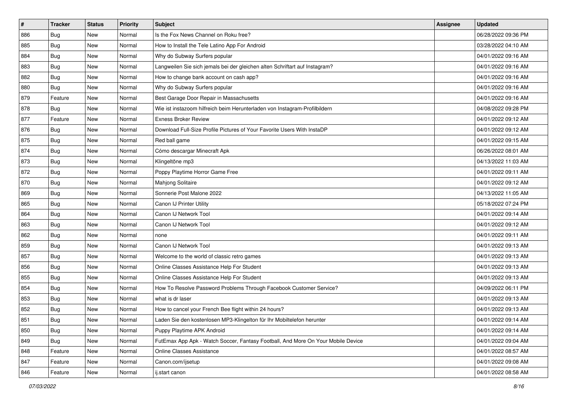| $\sharp$ | <b>Tracker</b> | <b>Status</b> | <b>Priority</b> | Subject                                                                          | <b>Assignee</b> | <b>Updated</b>      |
|----------|----------------|---------------|-----------------|----------------------------------------------------------------------------------|-----------------|---------------------|
| 886      | <b>Bug</b>     | New           | Normal          | Is the Fox News Channel on Roku free?                                            |                 | 06/28/2022 09:36 PM |
| 885      | Bug            | New           | Normal          | How to Install the Tele Latino App For Android                                   |                 | 03/28/2022 04:10 AM |
| 884      | Bug            | New           | Normal          | Why do Subway Surfers popular                                                    |                 | 04/01/2022 09:16 AM |
| 883      | Bug            | New           | Normal          | Langweilen Sie sich jemals bei der gleichen alten Schriftart auf Instagram?      |                 | 04/01/2022 09:16 AM |
| 882      | Bug            | New           | Normal          | How to change bank account on cash app?                                          |                 | 04/01/2022 09:16 AM |
| 880      | <b>Bug</b>     | New           | Normal          | Why do Subway Surfers popular                                                    |                 | 04/01/2022 09:16 AM |
| 879      | Feature        | New           | Normal          | Best Garage Door Repair in Massachusetts                                         |                 | 04/01/2022 09:16 AM |
| 878      | Bug            | New           | Normal          | Wie ist instazoom hilfreich beim Herunterladen von Instagram-Profilbildern       |                 | 04/08/2022 09:28 PM |
| 877      | Feature        | New           | Normal          | <b>Exness Broker Review</b>                                                      |                 | 04/01/2022 09:12 AM |
| 876      | Bug            | New           | Normal          | Download Full-Size Profile Pictures of Your Favorite Users With InstaDP          |                 | 04/01/2022 09:12 AM |
| 875      | <b>Bug</b>     | New           | Normal          | Red ball game                                                                    |                 | 04/01/2022 09:15 AM |
| 874      | <b>Bug</b>     | New           | Normal          | Cómo descargar Minecraft Apk                                                     |                 | 06/26/2022 08:01 AM |
| 873      | Bug            | New           | Normal          | Klingeltöne mp3                                                                  |                 | 04/13/2022 11:03 AM |
| 872      | Bug            | New           | Normal          | Poppy Playtime Horror Game Free                                                  |                 | 04/01/2022 09:11 AM |
| 870      | Bug            | New           | Normal          | Mahjong Solitaire                                                                |                 | 04/01/2022 09:12 AM |
| 869      | Bug            | New           | Normal          | Sonnerie Post Malone 2022                                                        |                 | 04/13/2022 11:05 AM |
| 865      | <b>Bug</b>     | New           | Normal          | Canon IJ Printer Utility                                                         |                 | 05/18/2022 07:24 PM |
| 864      | Bug            | New           | Normal          | Canon IJ Network Tool                                                            |                 | 04/01/2022 09:14 AM |
| 863      | Bug            | New           | Normal          | Canon IJ Network Tool                                                            |                 | 04/01/2022 09:12 AM |
| 862      | Bug            | New           | Normal          | none                                                                             |                 | 04/01/2022 09:11 AM |
| 859      | <b>Bug</b>     | New           | Normal          | Canon IJ Network Tool                                                            |                 | 04/01/2022 09:13 AM |
| 857      | Bug            | New           | Normal          | Welcome to the world of classic retro games                                      |                 | 04/01/2022 09:13 AM |
| 856      | Bug            | New           | Normal          | Online Classes Assistance Help For Student                                       |                 | 04/01/2022 09:13 AM |
| 855      | <b>Bug</b>     | New           | Normal          | Online Classes Assistance Help For Student                                       |                 | 04/01/2022 09:13 AM |
| 854      | Bug            | New           | Normal          | How To Resolve Password Problems Through Facebook Customer Service?              |                 | 04/09/2022 06:11 PM |
| 853      | Bug            | New           | Normal          | what is dr laser                                                                 |                 | 04/01/2022 09:13 AM |
| 852      | <b>Bug</b>     | New           | Normal          | How to cancel your French Bee flight within 24 hours?                            |                 | 04/01/2022 09:13 AM |
| 851      | <b>Bug</b>     | New           | Normal          | Laden Sie den kostenlosen MP3-Klingelton für Ihr Mobiltelefon herunter           |                 | 04/01/2022 09:14 AM |
| 850      | <b>Bug</b>     | New           | Normal          | Puppy Playtime APK Android                                                       |                 | 04/01/2022 09:14 AM |
| 849      | <b>Bug</b>     | New           | Normal          | FutEmax App Apk - Watch Soccer, Fantasy Football, And More On Your Mobile Device |                 | 04/01/2022 09:04 AM |
| 848      | Feature        | New           | Normal          | <b>Online Classes Assistance</b>                                                 |                 | 04/01/2022 08:57 AM |
| 847      | Feature        | New           | Normal          | Canon.com/ijsetup                                                                |                 | 04/01/2022 09:08 AM |
| 846      | Feature        | New           | Normal          | ij.start canon                                                                   |                 | 04/01/2022 08:58 AM |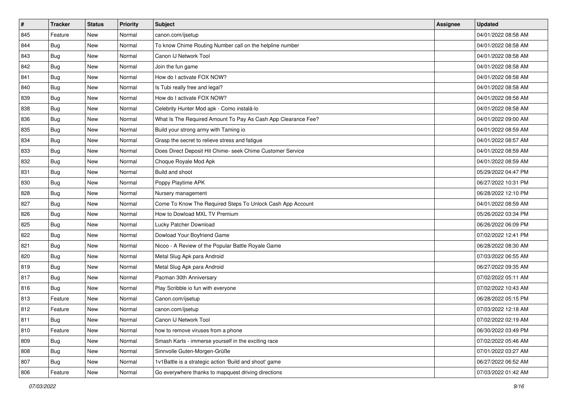| $\sharp$ | <b>Tracker</b> | <b>Status</b> | <b>Priority</b> | <b>Subject</b>                                                | Assignee | <b>Updated</b>      |
|----------|----------------|---------------|-----------------|---------------------------------------------------------------|----------|---------------------|
| 845      | Feature        | New           | Normal          | canon.com/ijsetup                                             |          | 04/01/2022 08:58 AM |
| 844      | <b>Bug</b>     | New           | Normal          | To know Chime Routing Number call on the helpline number      |          | 04/01/2022 08:58 AM |
| 843      | Bug            | New           | Normal          | Canon IJ Network Tool                                         |          | 04/01/2022 08:58 AM |
| 842      | Bug            | New           | Normal          | Join the fun game                                             |          | 04/01/2022 08:58 AM |
| 841      | Bug            | New           | Normal          | How do I activate FOX NOW?                                    |          | 04/01/2022 08:58 AM |
| 840      | <b>Bug</b>     | New           | Normal          | Is Tubi really free and legal?                                |          | 04/01/2022 08:58 AM |
| 839      | Bug            | New           | Normal          | How do I activate FOX NOW?                                    |          | 04/01/2022 08:58 AM |
| 838      | <b>Bug</b>     | New           | Normal          | Celebrity Hunter Mod apk - Como instalá-lo                    |          | 04/01/2022 08:58 AM |
| 836      | Bug            | New           | Normal          | What Is The Required Amount To Pay As Cash App Clearance Fee? |          | 04/01/2022 09:00 AM |
| 835      | Bug            | New           | Normal          | Build your strong army with Taming io                         |          | 04/01/2022 08:59 AM |
| 834      | <b>Bug</b>     | New           | Normal          | Grasp the secret to relieve stress and fatigue                |          | 04/01/2022 08:57 AM |
| 833      | <b>Bug</b>     | New           | Normal          | Does Direct Deposit Hit Chime- seek Chime Customer Service    |          | 04/01/2022 08:59 AM |
| 832      | Bug            | New           | Normal          | Choque Royale Mod Apk                                         |          | 04/01/2022 08:59 AM |
| 831      | <b>Bug</b>     | New           | Normal          | Build and shoot                                               |          | 05/29/2022 04:47 PM |
| 830      | Bug            | New           | Normal          | Poppy Playtime APK                                            |          | 06/27/2022 10:31 PM |
| 828      | Bug            | New           | Normal          | Nursery management                                            |          | 06/28/2022 12:10 PM |
| 827      | Bug            | New           | Normal          | Come To Know The Required Steps To Unlock Cash App Account    |          | 04/01/2022 08:59 AM |
| 826      | Bug            | New           | Normal          | How to Dowload MXL TV Premium                                 |          | 05/26/2022 03:34 PM |
| 825      | Bug            | New           | Normal          | Lucky Patcher Download                                        |          | 06/26/2022 06:09 PM |
| 822      | Bug            | New           | Normal          | Dowload Your Boyfriend Game                                   |          | 07/02/2022 12:41 PM |
| 821      | <b>Bug</b>     | New           | Normal          | Nicoo - A Review of the Popular Battle Royale Game            |          | 06/28/2022 08:30 AM |
| 820      | Bug            | New           | Normal          | Metal Slug Apk para Android                                   |          | 07/03/2022 06:55 AM |
| 819      | Bug            | New           | Normal          | Metal Slug Apk para Android                                   |          | 06/27/2022 09:35 AM |
| 817      | <b>Bug</b>     | New           | Normal          | Pacman 30th Anniversary                                       |          | 07/02/2022 05:11 AM |
| 816      | Bug            | New           | Normal          | Play Scribble io fun with everyone                            |          | 07/02/2022 10:43 AM |
| 813      | Feature        | New           | Normal          | Canon.com/ijsetup                                             |          | 06/28/2022 05:15 PM |
| 812      | Feature        | New           | Normal          | canon.com/ijsetup                                             |          | 07/03/2022 12:18 AM |
| 811      | Bug            | New           | Normal          | Canon IJ Network Tool                                         |          | 07/02/2022 02:19 AM |
| 810      | Feature        | New           | Normal          | how to remove viruses from a phone                            |          | 06/30/2022 03:49 PM |
| 809      | <b>Bug</b>     | New           | Normal          | Smash Karts - immerse yourself in the exciting race           |          | 07/02/2022 05:46 AM |
| 808      | <b>Bug</b>     | New           | Normal          | Sinnvolle Guten-Morgen-Grüße                                  |          | 07/01/2022 03:27 AM |
| 807      | Bug            | New           | Normal          | 1v1Battle is a strategic action 'Build and shoot' game        |          | 06/27/2022 06:52 AM |
| 806      | Feature        | New           | Normal          | Go everywhere thanks to mapquest driving directions           |          | 07/03/2022 01:42 AM |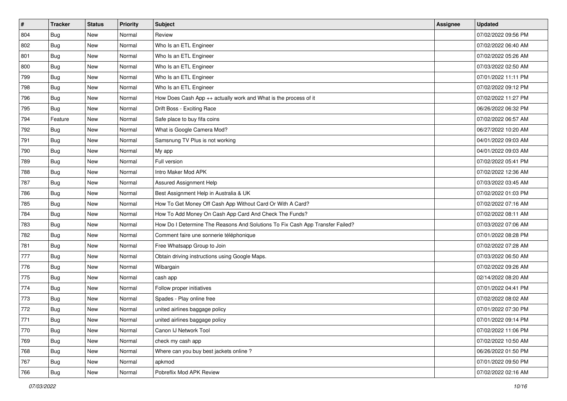| $\sharp$ | <b>Tracker</b> | <b>Status</b> | Priority | <b>Subject</b>                                                                | Assignee | <b>Updated</b>      |
|----------|----------------|---------------|----------|-------------------------------------------------------------------------------|----------|---------------------|
| 804      | <b>Bug</b>     | New           | Normal   | Review                                                                        |          | 07/02/2022 09:56 PM |
| 802      | <b>Bug</b>     | New           | Normal   | Who Is an ETL Engineer                                                        |          | 07/02/2022 06:40 AM |
| 801      | Bug            | New           | Normal   | Who Is an ETL Engineer                                                        |          | 07/02/2022 05:26 AM |
| 800      | Bug            | New           | Normal   | Who Is an ETL Engineer                                                        |          | 07/03/2022 02:50 AM |
| 799      | Bug            | New           | Normal   | Who Is an ETL Engineer                                                        |          | 07/01/2022 11:11 PM |
| 798      | Bug            | New           | Normal   | Who Is an ETL Engineer                                                        |          | 07/02/2022 09:12 PM |
| 796      | Bug            | New           | Normal   | How Does Cash App ++ actually work and What is the process of it              |          | 07/02/2022 11:27 PM |
| 795      | Bug            | New           | Normal   | Drift Boss - Exciting Race                                                    |          | 06/26/2022 06:32 PM |
| 794      | Feature        | New           | Normal   | Safe place to buy fifa coins                                                  |          | 07/02/2022 06:57 AM |
| 792      | Bug            | New           | Normal   | What is Google Camera Mod?                                                    |          | 06/27/2022 10:20 AM |
| 791      | Bug            | New           | Normal   | Samsnung TV Plus is not working                                               |          | 04/01/2022 09:03 AM |
| 790      | Bug            | New           | Normal   | My app                                                                        |          | 04/01/2022 09:03 AM |
| 789      | Bug            | New           | Normal   | Full version                                                                  |          | 07/02/2022 05:41 PM |
| 788      | <b>Bug</b>     | New           | Normal   | Intro Maker Mod APK                                                           |          | 07/02/2022 12:36 AM |
| 787      | Bug            | New           | Normal   | Assured Assignment Help                                                       |          | 07/03/2022 03:45 AM |
| 786      | Bug            | New           | Normal   | Best Assignment Help in Australia & UK                                        |          | 07/02/2022 01:03 PM |
| 785      | Bug            | New           | Normal   | How To Get Money Off Cash App Without Card Or With A Card?                    |          | 07/02/2022 07:16 AM |
| 784      | Bug            | New           | Normal   | How To Add Money On Cash App Card And Check The Funds?                        |          | 07/02/2022 08:11 AM |
| 783      | Bug            | New           | Normal   | How Do I Determine The Reasons And Solutions To Fix Cash App Transfer Failed? |          | 07/03/2022 07:06 AM |
| 782      | Bug            | New           | Normal   | Comment faire une sonnerie téléphonique                                       |          | 07/01/2022 08:28 PM |
| 781      | Bug            | New           | Normal   | Free Whatsapp Group to Join                                                   |          | 07/02/2022 07:28 AM |
| 777      | <b>Bug</b>     | New           | Normal   | Obtain driving instructions using Google Maps.                                |          | 07/03/2022 06:50 AM |
| 776      | Bug            | New           | Normal   | Wibargain                                                                     |          | 07/02/2022 09:26 AM |
| 775      | <b>Bug</b>     | New           | Normal   | cash app                                                                      |          | 02/14/2022 08:20 AM |
| 774      | <b>Bug</b>     | New           | Normal   | Follow proper initiatives                                                     |          | 07/01/2022 04:41 PM |
| 773      | Bug            | New           | Normal   | Spades - Play online free                                                     |          | 07/02/2022 08:02 AM |
| 772      | <b>Bug</b>     | New           | Normal   | united airlines baggage policy                                                |          | 07/01/2022 07:30 PM |
| 771      | <b>Bug</b>     | New           | Normal   | united airlines baggage policy                                                |          | 07/01/2022 09:14 PM |
| 770      | <b>Bug</b>     | New           | Normal   | Canon IJ Network Tool                                                         |          | 07/02/2022 11:06 PM |
| 769      | <b>Bug</b>     | New           | Normal   | check my cash app                                                             |          | 07/02/2022 10:50 AM |
| 768      | <b>Bug</b>     | New           | Normal   | Where can you buy best jackets online?                                        |          | 06/26/2022 01:50 PM |
| 767      | <b>Bug</b>     | New           | Normal   | apkmod                                                                        |          | 07/01/2022 09:50 PM |
| 766      | <b>Bug</b>     | New           | Normal   | Pobreflix Mod APK Review                                                      |          | 07/02/2022 02:16 AM |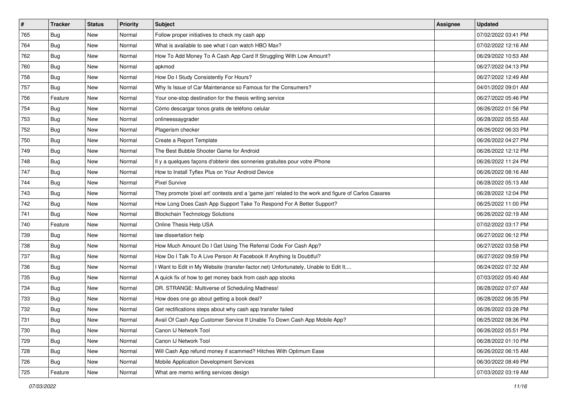| $\vert$ # | <b>Tracker</b> | <b>Status</b> | <b>Priority</b> | <b>Subject</b>                                                                                      | Assignee | <b>Updated</b>      |
|-----------|----------------|---------------|-----------------|-----------------------------------------------------------------------------------------------------|----------|---------------------|
| 765       | <b>Bug</b>     | New           | Normal          | Follow proper initiatives to check my cash app                                                      |          | 07/02/2022 03:41 PM |
| 764       | Bug            | New           | Normal          | What is available to see what I can watch HBO Max?                                                  |          | 07/02/2022 12:16 AM |
| 762       | <b>Bug</b>     | New           | Normal          | How To Add Money To A Cash App Card If Struggling With Low Amount?                                  |          | 06/29/2022 10:53 AM |
| 760       | <b>Bug</b>     | New           | Normal          | apkmod                                                                                              |          | 06/27/2022 04:13 PM |
| 758       | <b>Bug</b>     | New           | Normal          | How Do I Study Consistently For Hours?                                                              |          | 06/27/2022 12:49 AM |
| 757       | <b>Bug</b>     | New           | Normal          | Why Is Issue of Car Maintenance so Famous for the Consumers?                                        |          | 04/01/2022 09:01 AM |
| 756       | Feature        | New           | Normal          | Your one-stop destination for the thesis writing service                                            |          | 06/27/2022 05:46 PM |
| 754       | <b>Bug</b>     | New           | Normal          | Cómo descargar tonos gratis de teléfono celular                                                     |          | 06/26/2022 01:56 PM |
| 753       | Bug            | New           | Normal          | onlineessaygrader                                                                                   |          | 06/28/2022 05:55 AM |
| 752       | Bug            | New           | Normal          | Plagerism checker                                                                                   |          | 06/26/2022 06:33 PM |
| 750       | <b>Bug</b>     | New           | Normal          | Create a Report Template                                                                            |          | 06/26/2022 04:27 PM |
| 749       | <b>Bug</b>     | New           | Normal          | The Best Bubble Shooter Game for Android                                                            |          | 06/26/2022 12:12 PM |
| 748       | <b>Bug</b>     | New           | Normal          | Il y a quelques façons d'obtenir des sonneries gratuites pour votre iPhone                          |          | 06/26/2022 11:24 PM |
| 747       | <b>Bug</b>     | New           | Normal          | How to Install Tyflex Plus on Your Android Device                                                   |          | 06/26/2022 08:16 AM |
| 744       | Bug            | New           | Normal          | <b>Pixel Survive</b>                                                                                |          | 06/28/2022 05:13 AM |
| 743       | <b>Bug</b>     | New           | Normal          | They promote 'pixel art' contests and a 'game jam' related to the work and figure of Carlos Casares |          | 06/28/2022 12:04 PM |
| 742       | <b>Bug</b>     | New           | Normal          | How Long Does Cash App Support Take To Respond For A Better Support?                                |          | 06/25/2022 11:00 PM |
| 741       | <b>Bug</b>     | New           | Normal          | <b>Blockchain Technology Solutions</b>                                                              |          | 06/26/2022 02:19 AM |
| 740       | Feature        | New           | Normal          | Online Thesis Help USA                                                                              |          | 07/02/2022 03:17 PM |
| 739       | <b>Bug</b>     | New           | Normal          | law dissertation help                                                                               |          | 06/27/2022 06:12 PM |
| 738       | Bug            | New           | Normal          | How Much Amount Do I Get Using The Referral Code For Cash App?                                      |          | 06/27/2022 03:58 PM |
| 737       | <b>Bug</b>     | New           | Normal          | How Do I Talk To A Live Person At Facebook If Anything Is Doubtful?                                 |          | 06/27/2022 09:59 PM |
| 736       | <b>Bug</b>     | New           | Normal          | I Want to Edit in My Website (transfer-factor.net) Unfortunately, Unable to Edit It                 |          | 06/24/2022 07:32 AM |
| 735       | <b>Bug</b>     | New           | Normal          | A quick fix of how to get money back from cash app stocks                                           |          | 07/03/2022 05:40 AM |
| 734       | Bug            | New           | Normal          | DR. STRANGE: Multiverse of Scheduling Madness!                                                      |          | 06/28/2022 07:07 AM |
| 733       | <b>Bug</b>     | New           | Normal          | How does one go about getting a book deal?                                                          |          | 06/28/2022 06:35 PM |
| 732       | <b>Bug</b>     | New           | Normal          | Get rectifications steps about why cash app transfer failed                                         |          | 06/26/2022 03:28 PM |
| 731       | Bug            | New           | Normal          | Avail Of Cash App Customer Service If Unable To Down Cash App Mobile App?                           |          | 06/25/2022 08:36 PM |
| 730       | <b>Bug</b>     | New           | Normal          | Canon IJ Network Tool                                                                               |          | 06/26/2022 05:51 PM |
| 729       | <b>Bug</b>     | New           | Normal          | Canon IJ Network Tool                                                                               |          | 06/28/2022 01:10 PM |
| 728       | Bug            | New           | Normal          | Will Cash App refund money if scammed? Hitches With Optimum Ease                                    |          | 06/26/2022 06:15 AM |
| 726       | <b>Bug</b>     | New           | Normal          | Mobile Application Development Services                                                             |          | 06/30/2022 08:49 PM |
| 725       | Feature        | New           | Normal          | What are memo writing services design                                                               |          | 07/03/2022 03:19 AM |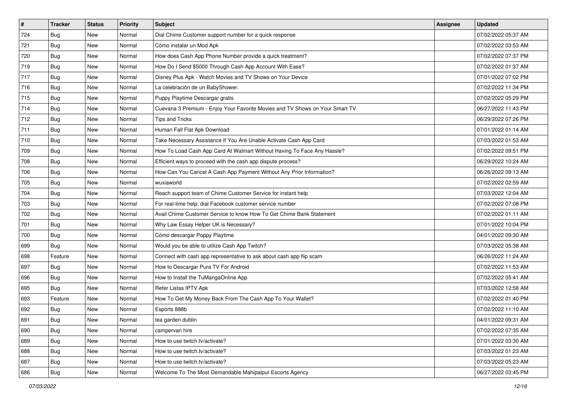| $\vert$ # | <b>Tracker</b> | <b>Status</b> | <b>Priority</b> | <b>Subject</b>                                                               | Assignee | <b>Updated</b>      |
|-----------|----------------|---------------|-----------------|------------------------------------------------------------------------------|----------|---------------------|
| 724       | <b>Bug</b>     | New           | Normal          | Dial Chime Customer support number for a quick response                      |          | 07/02/2022 05:37 AM |
| 721       | <b>Bug</b>     | New           | Normal          | Cómo instalar un Mod Apk                                                     |          | 07/02/2022 03:53 AM |
| 720       | <b>Bug</b>     | New           | Normal          | How does Cash App Phone Number provide a quick treatment?                    |          | 07/02/2022 07:37 PM |
| 719       | Bug            | New           | Normal          | How Do I Send \$5000 Through Cash App Account With Ease?                     |          | 07/02/2022 01:37 AM |
| 717       | Bug            | <b>New</b>    | Normal          | Disney Plus Apk - Watch Movies and TV Shows on Your Device                   |          | 07/01/2022 07:02 PM |
| 716       | <b>Bug</b>     | New           | Normal          | La celebración de un BabyShower.                                             |          | 07/02/2022 11:34 PM |
| 715       | <b>Bug</b>     | New           | Normal          | Puppy Playtime Descargar gratis                                              |          | 07/02/2022 05:29 PM |
| 714       | <b>Bug</b>     | New           | Normal          | Cuevana 3 Premium - Enjoy Your Favorite Movies and TV Shows on Your Smart TV |          | 06/27/2022 11:43 PM |
| 712       | Bug            | New           | Normal          | <b>Tips and Tricks</b>                                                       |          | 06/29/2022 07:26 PM |
| 711       | Bug            | New           | Normal          | Human Fall Flat Apk Download                                                 |          | 07/01/2022 01:14 AM |
| 710       | <b>Bug</b>     | New           | Normal          | Take Necessary Assistance If You Are Unable Activate Cash App Card           |          | 07/03/2022 01:53 AM |
| 709       | Bug            | New           | Normal          | How To Load Cash App Card At Walmart Without Having To Face Any Hassle?      |          | 07/02/2022 09:51 PM |
| 708       | <b>Bug</b>     | New           | Normal          | Efficient ways to proceed with the cash app dispute process?                 |          | 06/29/2022 10:24 AM |
| 706       | <b>Bug</b>     | New           | Normal          | How Can You Cancel A Cash App Payment Without Any Prior Information?         |          | 06/26/2022 09:13 AM |
| 705       | Bug            | New           | Normal          | wuxiaworld                                                                   |          | 07/02/2022 02:59 AM |
| 704       | <b>Bug</b>     | New           | Normal          | Reach support team of Chime Customer Service for instant help                |          | 07/03/2022 12:04 AM |
| 703       | <b>Bug</b>     | New           | Normal          | For real-time help, dial Facebook customer service number                    |          | 07/02/2022 07:08 PM |
| 702       | <b>Bug</b>     | New           | Normal          | Avail Chime Customer Service to know How To Get Chime Bank Statement         |          | 07/02/2022 01:11 AM |
| 701       | <b>Bug</b>     | New           | Normal          | Why Law Essay Helper UK is Necessary?                                        |          | 07/01/2022 10:04 PM |
| 700       | <b>Bug</b>     | New           | Normal          | Cómo descargar Poppy Playtime                                                |          | 04/01/2022 09:30 AM |
| 699       | Bug            | New           | Normal          | Would you be able to utilize Cash App Twitch?                                |          | 07/03/2022 05:38 AM |
| 698       | Feature        | New           | Normal          | Connect with cash app representative to ask about cash app flip scam         |          | 06/26/2022 11:24 AM |
| 697       | Bug            | New           | Normal          | How to Descargar Pura TV For Android                                         |          | 07/02/2022 11:53 AM |
| 696       | <b>Bug</b>     | New           | Normal          | How to Install the TuMangaOnline App                                         |          | 07/02/2022 05:41 AM |
| 695       | Bug            | New           | Normal          | Refer Listas IPTV Apk                                                        |          | 07/03/2022 12:58 AM |
| 693       | Feature        | New           | Normal          | How To Get My Money Back From The Cash App To Your Wallet?                   |          | 07/02/2022 01:40 PM |
| 692       | <b>Bug</b>     | New           | Normal          | Esports 888b                                                                 |          | 07/02/2022 11:10 AM |
| 691       | Bug            | New           | Normal          | tea garden dublin                                                            |          | 04/01/2022 09:31 AM |
| 690       | <b>Bug</b>     | New           | Normal          | campervan hire                                                               |          | 07/02/2022 07:35 AM |
| 689       | <b>Bug</b>     | New           | Normal          | How to use twitch.tv/activate?                                               |          | 07/01/2022 03:30 AM |
| 688       | <b>Bug</b>     | New           | Normal          | How to use twitch.tv/activate?                                               |          | 07/03/2022 01:23 AM |
| 687       | <b>Bug</b>     | New           | Normal          | How to use twitch.tv/activate?                                               |          | 07/03/2022 05:23 AM |
| 686       | Bug            | New           | Normal          | Welcome To The Most Demandable Mahipalpur Escorts Agency                     |          | 06/27/2022 03:45 PM |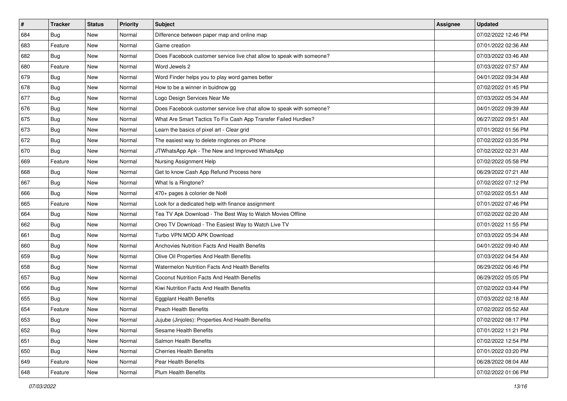| $\pmb{\#}$ | <b>Tracker</b> | <b>Status</b> | <b>Priority</b> | Subject                                                               | Assignee | <b>Updated</b>      |
|------------|----------------|---------------|-----------------|-----------------------------------------------------------------------|----------|---------------------|
| 684        | <b>Bug</b>     | New           | Normal          | Difference between paper map and online map                           |          | 07/02/2022 12:46 PM |
| 683        | Feature        | New           | Normal          | Game creation                                                         |          | 07/01/2022 02:36 AM |
| 682        | Bug            | New           | Normal          | Does Facebook customer service live chat allow to speak with someone? |          | 07/03/2022 03:46 AM |
| 680        | Feature        | New           | Normal          | Word Jewels 2                                                         |          | 07/03/2022 07:57 AM |
| 679        | <b>Bug</b>     | New           | Normal          | Word Finder helps you to play word games better                       |          | 04/01/2022 09:34 AM |
| 678        | <b>Bug</b>     | New           | Normal          | How to be a winner in buidnow gg                                      |          | 07/02/2022 01:45 PM |
| 677        | <b>Bug</b>     | New           | Normal          | Logo Design Services Near Me                                          |          | 07/03/2022 05:34 AM |
| 676        | <b>Bug</b>     | New           | Normal          | Does Facebook customer service live chat allow to speak with someone? |          | 04/01/2022 09:39 AM |
| 675        | <b>Bug</b>     | New           | Normal          | What Are Smart Tactics To Fix Cash App Transfer Failed Hurdles?       |          | 06/27/2022 09:51 AM |
| 673        | <b>Bug</b>     | New           | Normal          | Learn the basics of pixel art - Clear grid                            |          | 07/01/2022 01:56 PM |
| 672        | <b>Bug</b>     | New           | Normal          | The easiest way to delete ringtones on iPhone                         |          | 07/02/2022 03:35 PM |
| 670        | <b>Bug</b>     | New           | Normal          | JTWhatsApp Apk - The New and Improved WhatsApp                        |          | 07/02/2022 02:31 AM |
| 669        | Feature        | New           | Normal          | Nursing Assignment Help                                               |          | 07/02/2022 05:58 PM |
| 668        | <b>Bug</b>     | New           | Normal          | Get to know Cash App Refund Process here                              |          | 06/29/2022 07:21 AM |
| 667        | <b>Bug</b>     | <b>New</b>    | Normal          | What Is a Ringtone?                                                   |          | 07/02/2022 07:12 PM |
| 666        | <b>Bug</b>     | New           | Normal          | 470+ pages à colorier de Noël                                         |          | 07/02/2022 05:51 AM |
| 665        | Feature        | New           | Normal          | Look for a dedicated help with finance assignment                     |          | 07/01/2022 07:46 PM |
| 664        | Bug            | New           | Normal          | Tea TV Apk Download - The Best Way to Watch Movies Offline            |          | 07/02/2022 02:20 AM |
| 662        | <b>Bug</b>     | New           | Normal          | Oreo TV Download - The Easiest Way to Watch Live TV                   |          | 07/01/2022 11:55 PM |
| 661        | <b>Bug</b>     | <b>New</b>    | Normal          | Turbo VPN MOD APK Download                                            |          | 07/03/2022 05:34 AM |
| 660        | <b>Bug</b>     | New           | Normal          | Anchovies Nutrition Facts And Health Benefits                         |          | 04/01/2022 09:40 AM |
| 659        | <b>Bug</b>     | New           | Normal          | Olive Oil Properties And Health Benefits                              |          | 07/03/2022 04:54 AM |
| 658        | Bug            | New           | Normal          | Watermelon Nutrition Facts And Health Benefits                        |          | 06/29/2022 06:46 PM |
| 657        | <b>Bug</b>     | New           | Normal          | Coconut Nutrition Facts And Health Benefits                           |          | 06/29/2022 05:05 PM |
| 656        | <b>Bug</b>     | New           | Normal          | Kiwi Nutrition Facts And Health Benefits                              |          | 07/02/2022 03:44 PM |
| 655        | <b>Bug</b>     | New           | Normal          | <b>Eggplant Health Benefits</b>                                       |          | 07/03/2022 02:18 AM |
| 654        | Feature        | New           | Normal          | Peach Health Benefits                                                 |          | 07/02/2022 05:52 AM |
| 653        | I Bug          | New           | Normal          | Jujube (Jinjoles): Properties And Health Benefits                     |          | 07/02/2022 08:17 PM |
| 652        | Bug            | New           | Normal          | Sesame Health Benefits                                                |          | 07/01/2022 11:21 PM |
| 651        | Bug            | New           | Normal          | Salmon Health Benefits                                                |          | 07/02/2022 12:54 PM |
| 650        | <b>Bug</b>     | New           | Normal          | <b>Cherries Health Benefits</b>                                       |          | 07/01/2022 03:20 PM |
| 649        | Feature        | New           | Normal          | Pear Health Benefits                                                  |          | 06/28/2022 08:04 AM |
| 648        | Feature        | New           | Normal          | Plum Health Benefits                                                  |          | 07/02/2022 01:06 PM |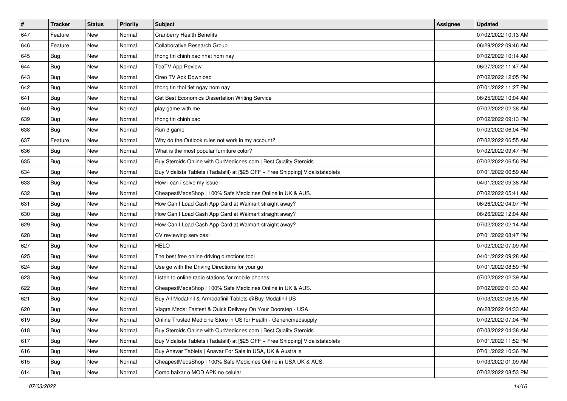| $\sharp$ | <b>Tracker</b> | <b>Status</b> | <b>Priority</b> | Subject                                                                          | <b>Assignee</b> | <b>Updated</b>      |
|----------|----------------|---------------|-----------------|----------------------------------------------------------------------------------|-----------------|---------------------|
| 647      | Feature        | New           | Normal          | <b>Cranberry Health Benefits</b>                                                 |                 | 07/02/2022 10:13 AM |
| 646      | Feature        | New           | Normal          | Collaborative Research Group                                                     |                 | 06/29/2022 09:46 AM |
| 645      | Bug            | New           | Normal          | thong tin chinh xac nhat hom nay                                                 |                 | 07/02/2022 10:14 AM |
| 644      | Bug            | New           | Normal          | <b>TeaTV App Review</b>                                                          |                 | 06/27/2022 11:47 AM |
| 643      | Bug            | New           | Normal          | Oreo TV Apk Download                                                             |                 | 07/02/2022 12:05 PM |
| 642      | <b>Bug</b>     | New           | Normal          | thong tin thoi tiet ngay hom nay                                                 |                 | 07/01/2022 11:27 PM |
| 641      | Bug            | New           | Normal          | Get Best Economics Dissertation Writing Service                                  |                 | 06/25/2022 10:04 AM |
| 640      | <b>Bug</b>     | New           | Normal          | play game with me                                                                |                 | 07/02/2022 02:38 AM |
| 639      | Bug            | New           | Normal          | thong tin chinh xac                                                              |                 | 07/02/2022 09:13 PM |
| 638      | Bug            | New           | Normal          | Run 3 game                                                                       |                 | 07/02/2022 06:04 PM |
| 637      | Feature        | New           | Normal          | Why do the Outlook rules not work in my account?                                 |                 | 07/02/2022 06:55 AM |
| 636      | <b>Bug</b>     | New           | Normal          | What is the most popular furniture color?                                        |                 | 07/02/2022 09:47 PM |
| 635      | Bug            | New           | Normal          | Buy Steroids Online with OurMedicnes.com   Best Quality Steroids                 |                 | 07/02/2022 06:56 PM |
| 634      | Bug            | New           | Normal          | Buy Vidalista Tablets (Tadalafil) at [\$25 OFF + Free Shipping] Vidalistatablets |                 | 07/01/2022 06:59 AM |
| 633      | Bug            | New           | Normal          | How i can i solve my issue                                                       |                 | 04/01/2022 09:38 AM |
| 632      | Bug            | New           | Normal          | CheapestMedsShop   100% Safe Medicines Online in UK & AUS.                       |                 | 07/02/2022 05:41 AM |
| 631      | <b>Bug</b>     | New           | Normal          | How Can I Load Cash App Card at Walmart straight away?                           |                 | 06/26/2022 04:07 PM |
| 630      | Bug            | New           | Normal          | How Can I Load Cash App Card at Walmart straight away?                           |                 | 06/26/2022 12:04 AM |
| 629      | Bug            | New           | Normal          | How Can I Load Cash App Card at Walmart straight away?                           |                 | 07/02/2022 02:14 AM |
| 628      | Bug            | New           | Normal          | CV reviewing services!                                                           |                 | 07/01/2022 08:47 PM |
| 627      | Bug            | New           | Normal          | <b>HELO</b>                                                                      |                 | 07/02/2022 07:09 AM |
| 625      | Bug            | New           | Normal          | The best free online driving directions tool                                     |                 | 04/01/2022 09:28 AM |
| 624      | Bug            | New           | Normal          | Use go with the Driving Directions for your go                                   |                 | 07/01/2022 08:59 PM |
| 623      | <b>Bug</b>     | New           | Normal          | Listen to online radio stations for mobile phones                                |                 | 07/02/2022 02:39 AM |
| 622      | Bug            | New           | Normal          | CheapestMedsShop   100% Safe Medicines Online in UK & AUS.                       |                 | 07/02/2022 01:33 AM |
| 621      | Bug            | New           | Normal          | Buy All Modafinil & Armodafinil Tablets @Buy Modafinil US                        |                 | 07/03/2022 06:05 AM |
| 620      | <b>Bug</b>     | New           | Normal          | Viagra Meds: Fastest & Quick Delivery On Your Doorstep - USA                     |                 | 06/28/2022 04:33 AM |
| 619      | Bug            | New           | Normal          | Online Trusted Medicine Store in US for Health - Genericmedsupply                |                 | 07/02/2022 07:04 PM |
| 618      | Bug            | New           | Normal          | Buy Steroids Online with OurMedicnes.com   Best Quality Steroids                 |                 | 07/03/2022 04:38 AM |
| 617      | Bug            | New           | Normal          | Buy Vidalista Tablets (Tadalafil) at [\$25 OFF + Free Shipping] Vidalistatablets |                 | 07/01/2022 11:52 PM |
| 616      | <b>Bug</b>     | New           | Normal          | Buy Anavar Tablets   Anavar For Sale in USA, UK & Australia                      |                 | 07/01/2022 10:36 PM |
| 615      | Bug            | New           | Normal          | CheapestMedsShop   100% Safe Medicines Online in USA UK & AUS.                   |                 | 07/03/2022 01:09 AM |
| 614      | <b>Bug</b>     | New           | Normal          | Como baixar o MOD APK no celular                                                 |                 | 07/02/2022 08:53 PM |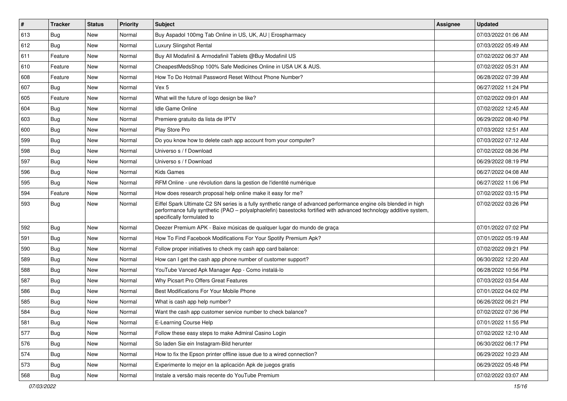| #   | <b>Tracker</b> | <b>Status</b> | <b>Priority</b> | Subject                                                                                                                                                                                                                                                               | <b>Assignee</b> | <b>Updated</b>      |
|-----|----------------|---------------|-----------------|-----------------------------------------------------------------------------------------------------------------------------------------------------------------------------------------------------------------------------------------------------------------------|-----------------|---------------------|
| 613 | <b>Bug</b>     | New           | Normal          | Buy Aspadol 100mg Tab Online in US, UK, AU   Erospharmacy                                                                                                                                                                                                             |                 | 07/03/2022 01:06 AM |
| 612 | Bug            | New           | Normal          | Luxury Slingshot Rental                                                                                                                                                                                                                                               |                 | 07/03/2022 05:49 AM |
| 611 | Feature        | New           | Normal          | Buy All Modafinil & Armodafinil Tablets @Buy Modafinil US                                                                                                                                                                                                             |                 | 07/02/2022 06:37 AM |
| 610 | Feature        | New           | Normal          | CheapestMedsShop 100% Safe Medicines Online in USA UK & AUS.                                                                                                                                                                                                          |                 | 07/02/2022 05:31 AM |
| 608 | Feature        | New           | Normal          | How To Do Hotmail Password Reset Without Phone Number?                                                                                                                                                                                                                |                 | 06/28/2022 07:39 AM |
| 607 | Bug            | New           | Normal          | Vex 5                                                                                                                                                                                                                                                                 |                 | 06/27/2022 11:24 PM |
| 605 | Feature        | New           | Normal          | What will the future of logo design be like?                                                                                                                                                                                                                          |                 | 07/02/2022 09:01 AM |
| 604 | Bug            | <b>New</b>    | Normal          | Idle Game Online                                                                                                                                                                                                                                                      |                 | 07/02/2022 12:45 AM |
| 603 | Bug            | New           | Normal          | Premiere gratuito da lista de IPTV                                                                                                                                                                                                                                    |                 | 06/29/2022 08:40 PM |
| 600 | Bug            | <b>New</b>    | Normal          | Play Store Pro                                                                                                                                                                                                                                                        |                 | 07/03/2022 12:51 AM |
| 599 | Bug            | New           | Normal          | Do you know how to delete cash app account from your computer?                                                                                                                                                                                                        |                 | 07/03/2022 07:12 AM |
| 598 | Bug            | <b>New</b>    | Normal          | Universo s / f Download                                                                                                                                                                                                                                               |                 | 07/02/2022 08:36 PM |
| 597 | Bug            | New           | Normal          | Universo s / f Download                                                                                                                                                                                                                                               |                 | 06/29/2022 08:19 PM |
| 596 | <b>Bug</b>     | New           | Normal          | <b>Kids Games</b>                                                                                                                                                                                                                                                     |                 | 06/27/2022 04:08 AM |
| 595 | <b>Bug</b>     | <b>New</b>    | Normal          | RFM Online - une révolution dans la gestion de l'identité numérique                                                                                                                                                                                                   |                 | 06/27/2022 11:06 PM |
| 594 | Feature        | New           | Normal          | How does research proposal help online make it easy for me?                                                                                                                                                                                                           |                 | 07/02/2022 03:15 PM |
| 593 | <b>Bug</b>     | New           | Normal          | Eiffel Spark Ultimate C2 SN series is a fully synthetic range of advanced performance engine oils blended in high<br>performance fully synthetic (PAO - polyalphaolefin) basestocks fortified with advanced technology additive system,<br>specifically formulated to |                 | 07/02/2022 03:26 PM |
| 592 | <b>Bug</b>     | <b>New</b>    | Normal          | Deezer Premium APK - Baixe músicas de qualquer lugar do mundo de graça                                                                                                                                                                                                |                 | 07/01/2022 07:02 PM |
| 591 | Bug            | New           | Normal          | How To Find Facebook Modifications For Your Spotify Premium Apk?                                                                                                                                                                                                      |                 | 07/01/2022 05:19 AM |
| 590 | Bug            | New           | Normal          | Follow proper initiatives to check my cash app card balance:                                                                                                                                                                                                          |                 | 07/02/2022 09:21 PM |
| 589 | Bug            | New           | Normal          | How can I get the cash app phone number of customer support?                                                                                                                                                                                                          |                 | 06/30/2022 12:20 AM |
| 588 | <b>Bug</b>     | New           | Normal          | YouTube Vanced Apk Manager App - Como instalá-lo                                                                                                                                                                                                                      |                 | 06/28/2022 10:56 PM |
| 587 | Bug            | <b>New</b>    | Normal          | Why Picsart Pro Offers Great Features                                                                                                                                                                                                                                 |                 | 07/03/2022 03:54 AM |
| 586 | <b>Bug</b>     | New           | Normal          | Best Modifications For Your Mobile Phone                                                                                                                                                                                                                              |                 | 07/01/2022 04:02 PM |
| 585 | <b>Bug</b>     | New           | Normal          | What is cash app help number?                                                                                                                                                                                                                                         |                 | 06/26/2022 06:21 PM |
| 584 | Bug            | New           | Normal          | Want the cash app customer service number to check balance?                                                                                                                                                                                                           |                 | 07/02/2022 07:36 PM |
| 581 | Bug            | New           | Normal          | E-Learning Course Help                                                                                                                                                                                                                                                |                 | 07/01/2022 11:55 PM |
| 577 | <b>Bug</b>     | New           | Normal          | Follow these easy steps to make Admiral Casino Login                                                                                                                                                                                                                  |                 | 07/02/2022 12:10 AM |
| 576 | <b>Bug</b>     | New           | Normal          | So laden Sie ein Instagram-Bild herunter                                                                                                                                                                                                                              |                 | 06/30/2022 06:17 PM |
| 574 | <b>Bug</b>     | New           | Normal          | How to fix the Epson printer offline issue due to a wired connection?                                                                                                                                                                                                 |                 | 06/29/2022 10:23 AM |
| 573 | <b>Bug</b>     | New           | Normal          | Experimente lo mejor en la aplicación Apk de juegos gratis                                                                                                                                                                                                            |                 | 06/29/2022 05:48 PM |
| 568 | Bug            | New           | Normal          | Instale a versão mais recente do YouTube Premium                                                                                                                                                                                                                      |                 | 07/02/2022 03:07 AM |